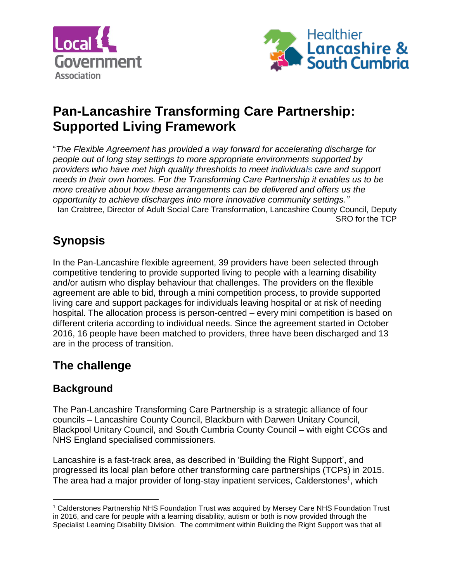



# **Pan-Lancashire Transforming Care Partnership: Supported Living Framework**

"*The Flexible Agreement has provided a way forward for accelerating discharge for people out of long stay settings to more appropriate environments supported by providers who have met high quality thresholds to meet individuals care and support needs in their own homes. For the Transforming Care Partnership it enables us to be more creative about how these arrangements can be delivered and offers us the opportunity to achieve discharges into more innovative community settings."* Ian Crabtree, Director of Adult Social Care Transformation, Lancashire County Council, Deputy SRO for the TCP

# **Synopsis**

In the Pan-Lancashire flexible agreement, 39 providers have been selected through competitive tendering to provide supported living to people with a learning disability and/or autism who display behaviour that challenges. The providers on the flexible agreement are able to bid, through a mini competition process, to provide supported living care and support packages for individuals leaving hospital or at risk of needing hospital. The allocation process is person-centred – every mini competition is based on different criteria according to individual needs. Since the agreement started in October 2016, 16 people have been matched to providers, three have been discharged and 13 are in the process of transition.

# **The challenge**

## **Background**

The Pan-Lancashire Transforming Care Partnership is a strategic alliance of four councils – Lancashire County Council, Blackburn with Darwen Unitary Council, Blackpool Unitary Council, and South Cumbria County Council – with eight CCGs and NHS England specialised commissioners.

Lancashire is a fast-track area, as described in 'Building the Right Support', and progressed its local plan before other transforming care partnerships (TCPs) in 2015. The area had a major provider of long-stay inpatient services, Calderstones<sup>1</sup>, which

 $\overline{\phantom{a}}$ <sup>1</sup> Calderstones Partnership NHS Foundation Trust was acquired by Mersey Care NHS Foundation Trust in 2016, and care for people with a learning disability, autism or both is now provided through the Specialist Learning Disability Division. The commitment within Building the Right Support was that all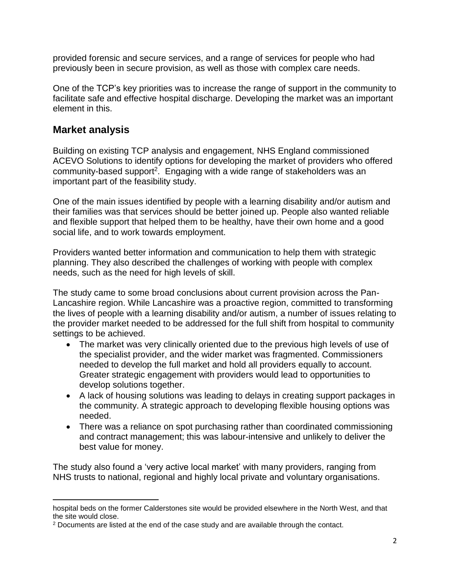provided forensic and secure services, and a range of services for people who had previously been in secure provision, as well as those with complex care needs.

One of the TCP's key priorities was to increase the range of support in the community to facilitate safe and effective hospital discharge. Developing the market was an important element in this.

### **Market analysis**

 $\overline{\phantom{a}}$ 

Building on existing TCP analysis and engagement, NHS England commissioned ACEVO Solutions to identify options for developing the market of providers who offered community-based support<sup>2</sup>. Engaging with a wide range of stakeholders was an important part of the feasibility study.

One of the main issues identified by people with a learning disability and/or autism and their families was that services should be better joined up. People also wanted reliable and flexible support that helped them to be healthy, have their own home and a good social life, and to work towards employment.

Providers wanted better information and communication to help them with strategic planning. They also described the challenges of working with people with complex needs, such as the need for high levels of skill.

The study came to some broad conclusions about current provision across the Pan-Lancashire region. While Lancashire was a proactive region, committed to transforming the lives of people with a learning disability and/or autism, a number of issues relating to the provider market needed to be addressed for the full shift from hospital to community settings to be achieved.

- The market was very clinically oriented due to the previous high levels of use of the specialist provider, and the wider market was fragmented. Commissioners needed to develop the full market and hold all providers equally to account. Greater strategic engagement with providers would lead to opportunities to develop solutions together.
- A lack of housing solutions was leading to delays in creating support packages in the community. A strategic approach to developing flexible housing options was needed.
- There was a reliance on spot purchasing rather than coordinated commissioning and contract management; this was labour-intensive and unlikely to deliver the best value for money.

The study also found a 'very active local market' with many providers, ranging from NHS trusts to national, regional and highly local private and voluntary organisations.

hospital beds on the former Calderstones site would be provided elsewhere in the North West, and that the site would close.

<sup>2</sup> Documents are listed at the end of the case study and are available through the contact.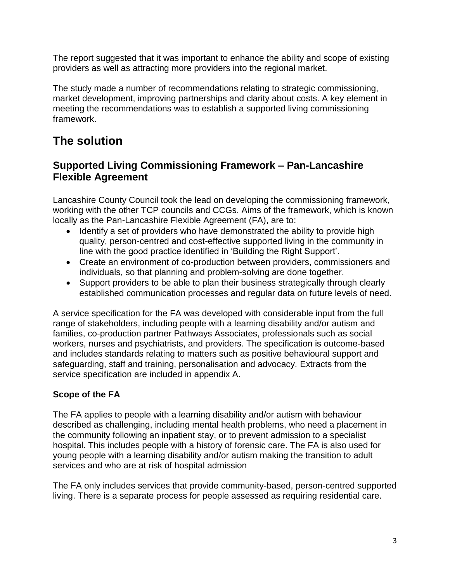The report suggested that it was important to enhance the ability and scope of existing providers as well as attracting more providers into the regional market.

The study made a number of recommendations relating to strategic commissioning, market development, improving partnerships and clarity about costs. A key element in meeting the recommendations was to establish a supported living commissioning framework.

# **The solution**

## **Supported Living Commissioning Framework – Pan-Lancashire Flexible Agreement**

Lancashire County Council took the lead on developing the commissioning framework, working with the other TCP councils and CCGs. Aims of the framework, which is known locally as the Pan-Lancashire Flexible Agreement (FA), are to:

- Identify a set of providers who have demonstrated the ability to provide high quality, person-centred and cost-effective supported living in the community in line with the good practice identified in 'Building the Right Support'.
- Create an environment of co-production between providers, commissioners and individuals, so that planning and problem-solving are done together.
- Support providers to be able to plan their business strategically through clearly established communication processes and regular data on future levels of need.

A service specification for the FA was developed with considerable input from the full range of stakeholders, including people with a learning disability and/or autism and families, co-production partner Pathways Associates, professionals such as social workers, nurses and psychiatrists, and providers. The specification is outcome-based and includes standards relating to matters such as positive behavioural support and safeguarding, staff and training, personalisation and advocacy. Extracts from the service specification are included in appendix A.

### **Scope of the FA**

The FA applies to people with a learning disability and/or autism with behaviour described as challenging, including mental health problems, who need a placement in the community following an inpatient stay, or to prevent admission to a specialist hospital. This includes people with a history of forensic care. The FA is also used for young people with a learning disability and/or autism making the transition to adult services and who are at risk of hospital admission

The FA only includes services that provide community-based, person-centred supported living. There is a separate process for people assessed as requiring residential care.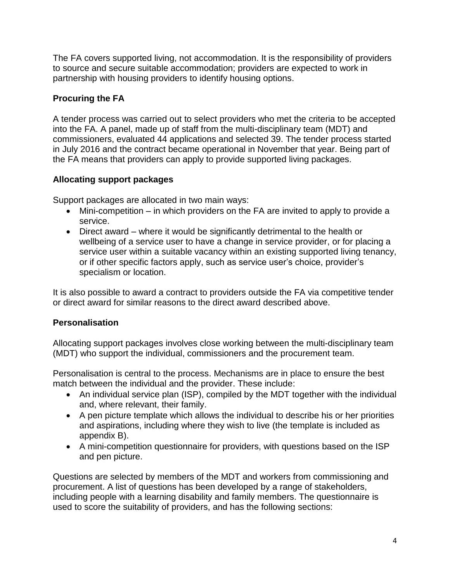The FA covers supported living, not accommodation. It is the responsibility of providers to source and secure suitable accommodation; providers are expected to work in partnership with housing providers to identify housing options.

### **Procuring the FA**

A tender process was carried out to select providers who met the criteria to be accepted into the FA. A panel, made up of staff from the multi-disciplinary team (MDT) and commissioners, evaluated 44 applications and selected 39. The tender process started in July 2016 and the contract became operational in November that year. Being part of the FA means that providers can apply to provide supported living packages.

#### **Allocating support packages**

Support packages are allocated in two main ways:

- Mini-competition in which providers on the FA are invited to apply to provide a service.
- Direct award where it would be significantly detrimental to the health or wellbeing of a service user to have a change in service provider, or for placing a service user within a suitable vacancy within an existing supported living tenancy, or if other specific factors apply, such as service user's choice, provider's specialism or location.

It is also possible to award a contract to providers outside the FA via competitive tender or direct award for similar reasons to the direct award described above.

### **Personalisation**

Allocating support packages involves close working between the multi-disciplinary team (MDT) who support the individual, commissioners and the procurement team.

Personalisation is central to the process. Mechanisms are in place to ensure the best match between the individual and the provider. These include:

- An individual service plan (ISP), compiled by the MDT together with the individual and, where relevant, their family.
- A pen picture template which allows the individual to describe his or her priorities and aspirations, including where they wish to live (the template is included as appendix B).
- A mini-competition questionnaire for providers, with questions based on the ISP and pen picture.

Questions are selected by members of the MDT and workers from commissioning and procurement. A list of questions has been developed by a range of stakeholders, including people with a learning disability and family members. The questionnaire is used to score the suitability of providers, and has the following sections: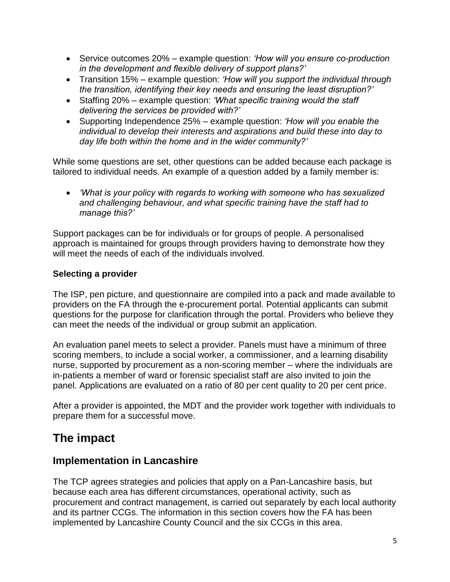- Service outcomes 20% example question: *'How will you ensure co-production in the development and flexible delivery of support plans?'*
- Transition 15% example question: *'How will you support the individual through the transition, identifying their key needs and ensuring the least disruption?'*
- Staffing 20% example question: *'What specific training would the staff delivering the services be provided with?'*
- Supporting Independence 25% example question: *'How will you enable the individual to develop their interests and aspirations and build these into day to day life both within the home and in the wider community?'*

While some questions are set, other questions can be added because each package is tailored to individual needs. An example of a question added by a family member is:

 *'What is your policy with regards to working with someone who has sexualized and challenging behaviour, and what specific training have the staff had to manage this?'*

Support packages can be for individuals or for groups of people. A personalised approach is maintained for groups through providers having to demonstrate how they will meet the needs of each of the individuals involved.

#### **Selecting a provider**

The ISP, pen picture, and questionnaire are compiled into a pack and made available to providers on the FA through the e-procurement portal. Potential applicants can submit questions for the purpose for clarification through the portal. Providers who believe they can meet the needs of the individual or group submit an application.

An evaluation panel meets to select a provider. Panels must have a minimum of three scoring members, to include a social worker, a commissioner, and a learning disability nurse, supported by procurement as a non-scoring member – where the individuals are in-patients a member of ward or forensic specialist staff are also invited to join the panel. Applications are evaluated on a ratio of 80 per cent quality to 20 per cent price.

After a provider is appointed, the MDT and the provider work together with individuals to prepare them for a successful move.

## **The impact**

### **Implementation in Lancashire**

The TCP agrees strategies and policies that apply on a Pan-Lancashire basis, but because each area has different circumstances, operational activity, such as procurement and contract management, is carried out separately by each local authority and its partner CCGs. The information in this section covers how the FA has been implemented by Lancashire County Council and the six CCGs in this area.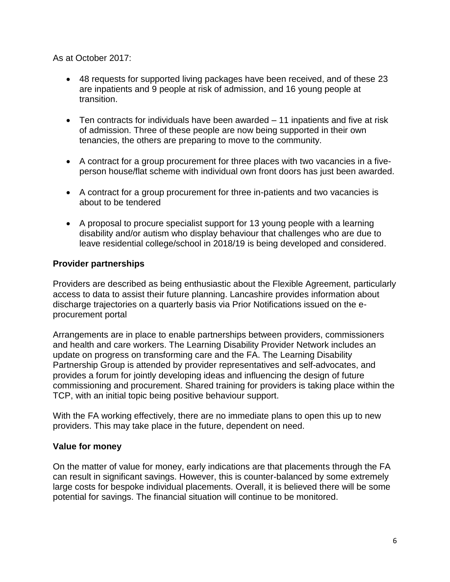As at October 2017:

- 48 requests for supported living packages have been received, and of these 23 are inpatients and 9 people at risk of admission, and 16 young people at transition.
- Ten contracts for individuals have been awarded 11 inpatients and five at risk of admission. Three of these people are now being supported in their own tenancies, the others are preparing to move to the community.
- A contract for a group procurement for three places with two vacancies in a fiveperson house/flat scheme with individual own front doors has just been awarded.
- A contract for a group procurement for three in-patients and two vacancies is about to be tendered
- A proposal to procure specialist support for 13 young people with a learning disability and/or autism who display behaviour that challenges who are due to leave residential college/school in 2018/19 is being developed and considered.

#### **Provider partnerships**

Providers are described as being enthusiastic about the Flexible Agreement, particularly access to data to assist their future planning. Lancashire provides information about discharge trajectories on a quarterly basis via Prior Notifications issued on the eprocurement portal

Arrangements are in place to enable partnerships between providers, commissioners and health and care workers. The Learning Disability Provider Network includes an update on progress on transforming care and the FA. The Learning Disability Partnership Group is attended by provider representatives and self-advocates, and provides a forum for jointly developing ideas and influencing the design of future commissioning and procurement. Shared training for providers is taking place within the TCP, with an initial topic being positive behaviour support.

With the FA working effectively, there are no immediate plans to open this up to new providers. This may take place in the future, dependent on need.

#### **Value for money**

On the matter of value for money, early indications are that placements through the FA can result in significant savings. However, this is counter-balanced by some extremely large costs for bespoke individual placements. Overall, it is believed there will be some potential for savings. The financial situation will continue to be monitored.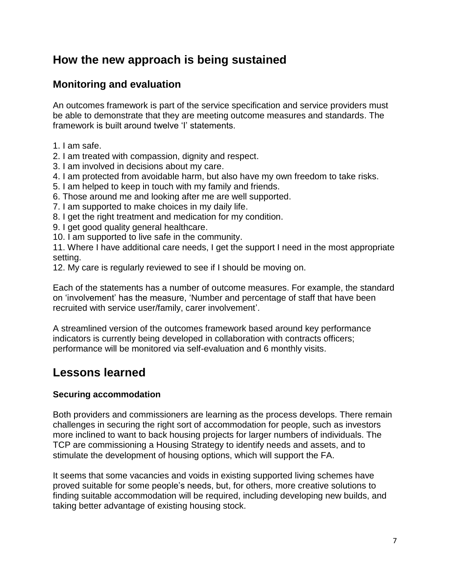## **How the new approach is being sustained**

## **Monitoring and evaluation**

An outcomes framework is part of the service specification and service providers must be able to demonstrate that they are meeting outcome measures and standards. The framework is built around twelve 'I' statements.

- 1. I am safe.
- 2. I am treated with compassion, dignity and respect.
- 3. I am involved in decisions about my care.
- 4. I am protected from avoidable harm, but also have my own freedom to take risks.
- 5. I am helped to keep in touch with my family and friends.
- 6. Those around me and looking after me are well supported.
- 7. I am supported to make choices in my daily life.
- 8. I get the right treatment and medication for my condition.
- 9. I get good quality general healthcare.
- 10. I am supported to live safe in the community.

11. Where I have additional care needs, I get the support I need in the most appropriate setting.

12. My care is regularly reviewed to see if I should be moving on.

Each of the statements has a number of outcome measures. For example, the standard on 'involvement' has the measure, 'Number and percentage of staff that have been recruited with service user/family, carer involvement'.

A streamlined version of the outcomes framework based around key performance indicators is currently being developed in collaboration with contracts officers; performance will be monitored via self-evaluation and 6 monthly visits.

# **Lessons learned**

#### **Securing accommodation**

Both providers and commissioners are learning as the process develops. There remain challenges in securing the right sort of accommodation for people, such as investors more inclined to want to back housing projects for larger numbers of individuals. The TCP are commissioning a Housing Strategy to identify needs and assets, and to stimulate the development of housing options, which will support the FA.

It seems that some vacancies and voids in existing supported living schemes have proved suitable for some people's needs, but, for others, more creative solutions to finding suitable accommodation will be required, including developing new builds, and taking better advantage of existing housing stock.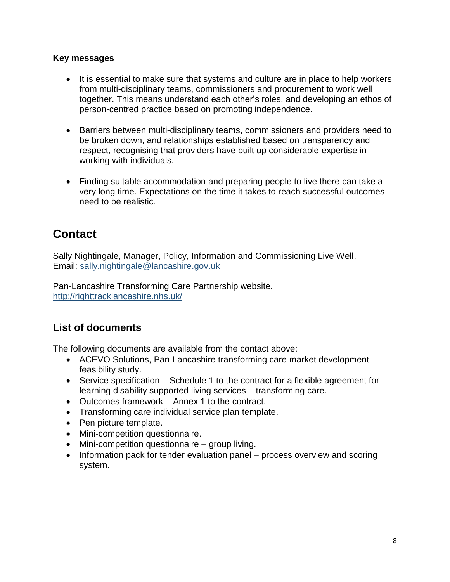#### **Key messages**

- It is essential to make sure that systems and culture are in place to help workers from multi-disciplinary teams, commissioners and procurement to work well together. This means understand each other's roles, and developing an ethos of person-centred practice based on promoting independence.
- Barriers between multi-disciplinary teams, commissioners and providers need to be broken down, and relationships established based on transparency and respect, recognising that providers have built up considerable expertise in working with individuals.
- Finding suitable accommodation and preparing people to live there can take a very long time. Expectations on the time it takes to reach successful outcomes need to be realistic.

# **Contact**

Sally Nightingale, Manager, Policy, Information and Commissioning Live Well. Email: [sally.nightingale@lancashire.gov.uk](mailto:sally.nightingale@lancashire.gov.uk)

Pan-Lancashire Transforming Care Partnership website. <http://righttracklancashire.nhs.uk/>

### **List of documents**

The following documents are available from the contact above:

- ACEVO Solutions, Pan-Lancashire transforming care market development feasibility study.
- Service specification Schedule 1 to the contract for a flexible agreement for learning disability supported living services – transforming care.
- Outcomes framework Annex 1 to the contract.
- Transforming care individual service plan template.
- Pen picture template.
- Mini-competition questionnaire.
- Mini-competition questionnaire group living.
- Information pack for tender evaluation panel process overview and scoring system.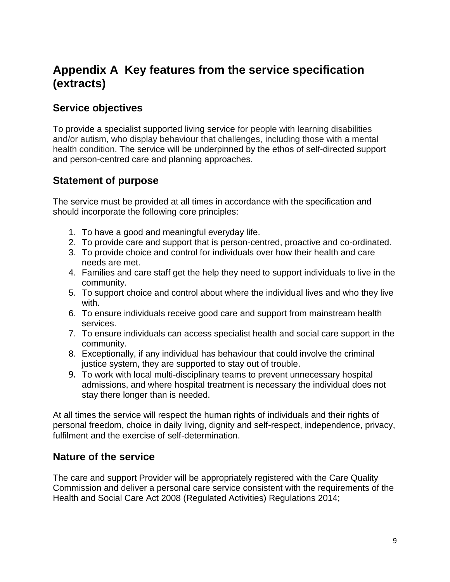# **Appendix A Key features from the service specification (extracts)**

### **Service objectives**

To provide a specialist supported living service for people with learning disabilities and/or autism, who display behaviour that challenges, including those with a mental health condition. The service will be underpinned by the ethos of self-directed support and person-centred care and planning approaches.

### **Statement of purpose**

The service must be provided at all times in accordance with the specification and should incorporate the following core principles:

- 1. To have a good and meaningful everyday life.
- 2. To provide care and support that is person-centred, proactive and co-ordinated.
- 3. To provide choice and control for individuals over how their health and care needs are met.
- 4. Families and care staff get the help they need to support individuals to live in the community.
- 5. To support choice and control about where the individual lives and who they live with.
- 6. To ensure individuals receive good care and support from mainstream health services.
- 7. To ensure individuals can access specialist health and social care support in the community.
- 8. Exceptionally, if any individual has behaviour that could involve the criminal justice system, they are supported to stay out of trouble.
- 9. To work with local multi-disciplinary teams to prevent unnecessary hospital admissions, and where hospital treatment is necessary the individual does not stay there longer than is needed.

At all times the service will respect the human rights of individuals and their rights of personal freedom, choice in daily living, dignity and self-respect, independence, privacy, fulfilment and the exercise of self-determination.

### **Nature of the service**

The care and support Provider will be appropriately registered with the Care Quality Commission and deliver a personal care service consistent with the requirements of the Health and Social Care Act 2008 (Regulated Activities) Regulations 2014;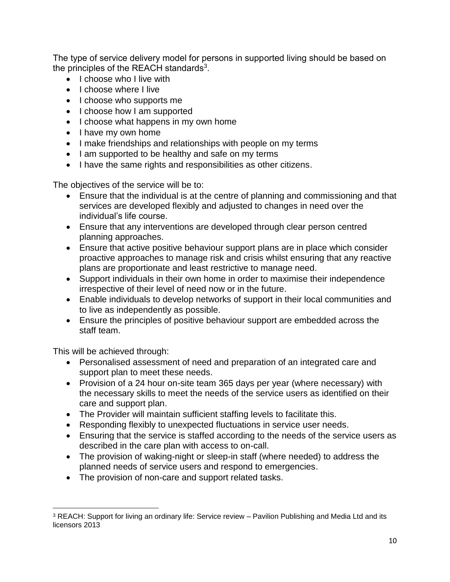The type of service delivery model for persons in supported living should be based on the principles of the REACH standards<sup>3</sup>.

- I choose who I live with
- I choose where I live
- I choose who supports me
- I choose how I am supported
- I choose what happens in my own home
- I have my own home
- I make friendships and relationships with people on my terms
- I am supported to be healthy and safe on my terms
- I have the same rights and responsibilities as other citizens.

The objectives of the service will be to:

- Ensure that the individual is at the centre of planning and commissioning and that services are developed flexibly and adjusted to changes in need over the individual's life course.
- Ensure that any interventions are developed through clear person centred planning approaches.
- Ensure that active positive behaviour support plans are in place which consider proactive approaches to manage risk and crisis whilst ensuring that any reactive plans are proportionate and least restrictive to manage need.
- Support individuals in their own home in order to maximise their independence irrespective of their level of need now or in the future.
- Enable individuals to develop networks of support in their local communities and to live as independently as possible.
- Ensure the principles of positive behaviour support are embedded across the staff team.

This will be achieved through:

 $\overline{\phantom{a}}$ 

- Personalised assessment of need and preparation of an integrated care and support plan to meet these needs.
- Provision of a 24 hour on-site team 365 days per year (where necessary) with the necessary skills to meet the needs of the service users as identified on their care and support plan.
- The Provider will maintain sufficient staffing levels to facilitate this.
- Responding flexibly to unexpected fluctuations in service user needs.
- Ensuring that the service is staffed according to the needs of the service users as described in the care plan with access to on-call.
- The provision of waking-night or sleep-in staff (where needed) to address the planned needs of service users and respond to emergencies.
- The provision of non-care and support related tasks.

<sup>3</sup> REACH: Support for living an ordinary life: Service review – Pavilion Publishing and Media Ltd and its licensors 2013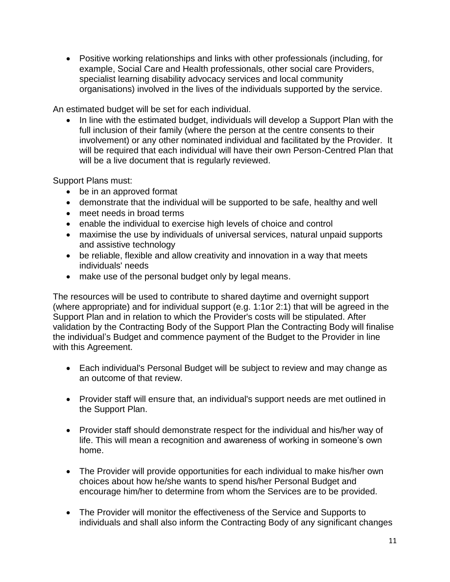Positive working relationships and links with other professionals (including, for example, Social Care and Health professionals, other social care Providers, specialist learning disability advocacy services and local community organisations) involved in the lives of the individuals supported by the service.

An estimated budget will be set for each individual.

• In line with the estimated budget, individuals will develop a Support Plan with the full inclusion of their family (where the person at the centre consents to their involvement) or any other nominated individual and facilitated by the Provider. It will be required that each individual will have their own Person-Centred Plan that will be a live document that is regularly reviewed.

Support Plans must:

- be in an approved format
- demonstrate that the individual will be supported to be safe, healthy and well
- meet needs in broad terms
- enable the individual to exercise high levels of choice and control
- maximise the use by individuals of universal services, natural unpaid supports and assistive technology
- be reliable, flexible and allow creativity and innovation in a way that meets individuals' needs
- make use of the personal budget only by legal means.

The resources will be used to contribute to shared daytime and overnight support (where appropriate) and for individual support (e.g. 1:1or 2:1) that will be agreed in the Support Plan and in relation to which the Provider's costs will be stipulated. After validation by the Contracting Body of the Support Plan the Contracting Body will finalise the individual's Budget and commence payment of the Budget to the Provider in line with this Agreement.

- Each individual's Personal Budget will be subject to review and may change as an outcome of that review.
- Provider staff will ensure that, an individual's support needs are met outlined in the Support Plan.
- Provider staff should demonstrate respect for the individual and his/her way of life. This will mean a recognition and awareness of working in someone's own home.
- The Provider will provide opportunities for each individual to make his/her own choices about how he/she wants to spend his/her Personal Budget and encourage him/her to determine from whom the Services are to be provided.
- The Provider will monitor the effectiveness of the Service and Supports to individuals and shall also inform the Contracting Body of any significant changes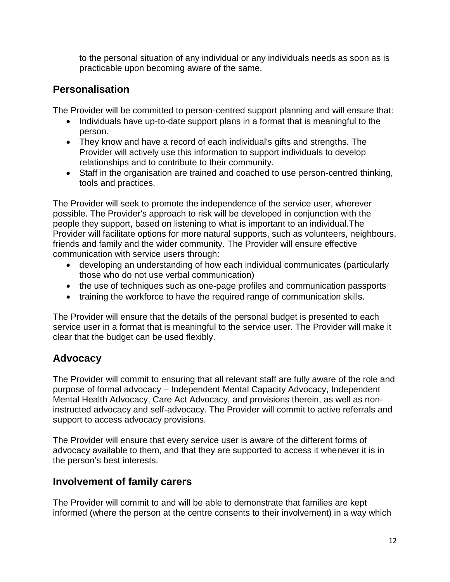to the personal situation of any individual or any individuals needs as soon as is practicable upon becoming aware of the same.

## **Personalisation**

The Provider will be committed to person-centred support planning and will ensure that:

- Individuals have up-to-date support plans in a format that is meaningful to the person.
- They know and have a record of each individual's gifts and strengths. The Provider will actively use this information to support individuals to develop relationships and to contribute to their community.
- Staff in the organisation are trained and coached to use person-centred thinking, tools and practices.

The Provider will seek to promote the independence of the service user, wherever possible. The Provider's approach to risk will be developed in conjunction with the people they support, based on listening to what is important to an individual.The Provider will facilitate options for more natural supports, such as volunteers, neighbours, friends and family and the wider community. The Provider will ensure effective communication with service users through:

- developing an understanding of how each individual communicates (particularly those who do not use verbal communication)
- the use of techniques such as one-page profiles and communication passports
- training the workforce to have the required range of communication skills.

The Provider will ensure that the details of the personal budget is presented to each service user in a format that is meaningful to the service user. The Provider will make it clear that the budget can be used flexibly.

## **Advocacy**

The Provider will commit to ensuring that all relevant staff are fully aware of the role and purpose of formal advocacy – Independent Mental Capacity Advocacy, Independent Mental Health Advocacy, Care Act Advocacy, and provisions therein, as well as noninstructed advocacy and self-advocacy. The Provider will commit to active referrals and support to access advocacy provisions.

The Provider will ensure that every service user is aware of the different forms of advocacy available to them, and that they are supported to access it whenever it is in the person's best interests.

## **Involvement of family carers**

The Provider will commit to and will be able to demonstrate that families are kept informed (where the person at the centre consents to their involvement) in a way which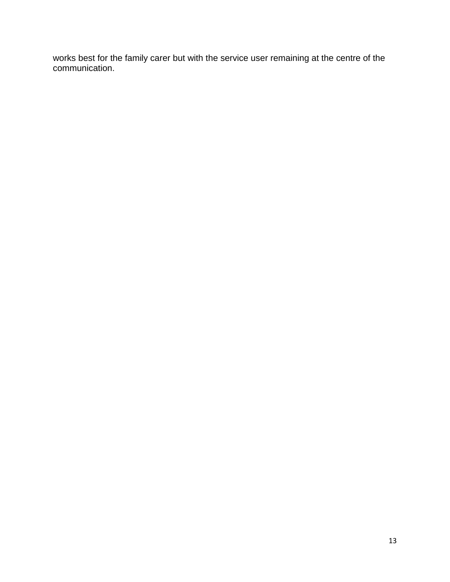works best for the family carer but with the service user remaining at the centre of the communication.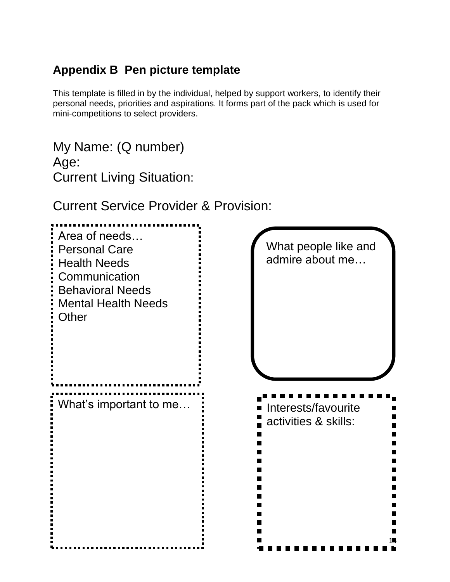# **Appendix B Pen picture template**

This template is filled in by the individual, helped by support workers, to identify their personal needs, priorities and aspirations. It forms part of the pack which is used for mini-competitions to select providers.

My Name: (Q number) Age: Current Living Situation:

Current Service Provider & Provision:

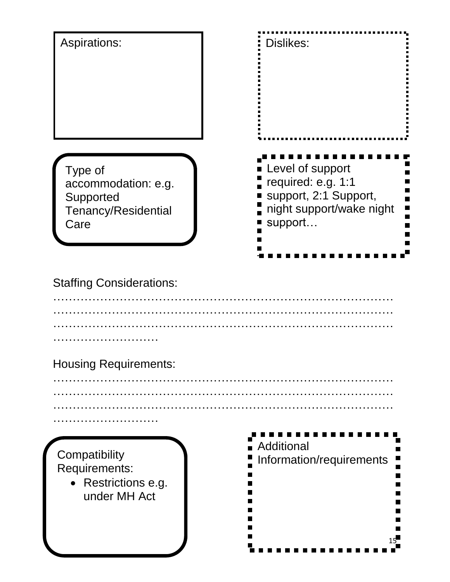